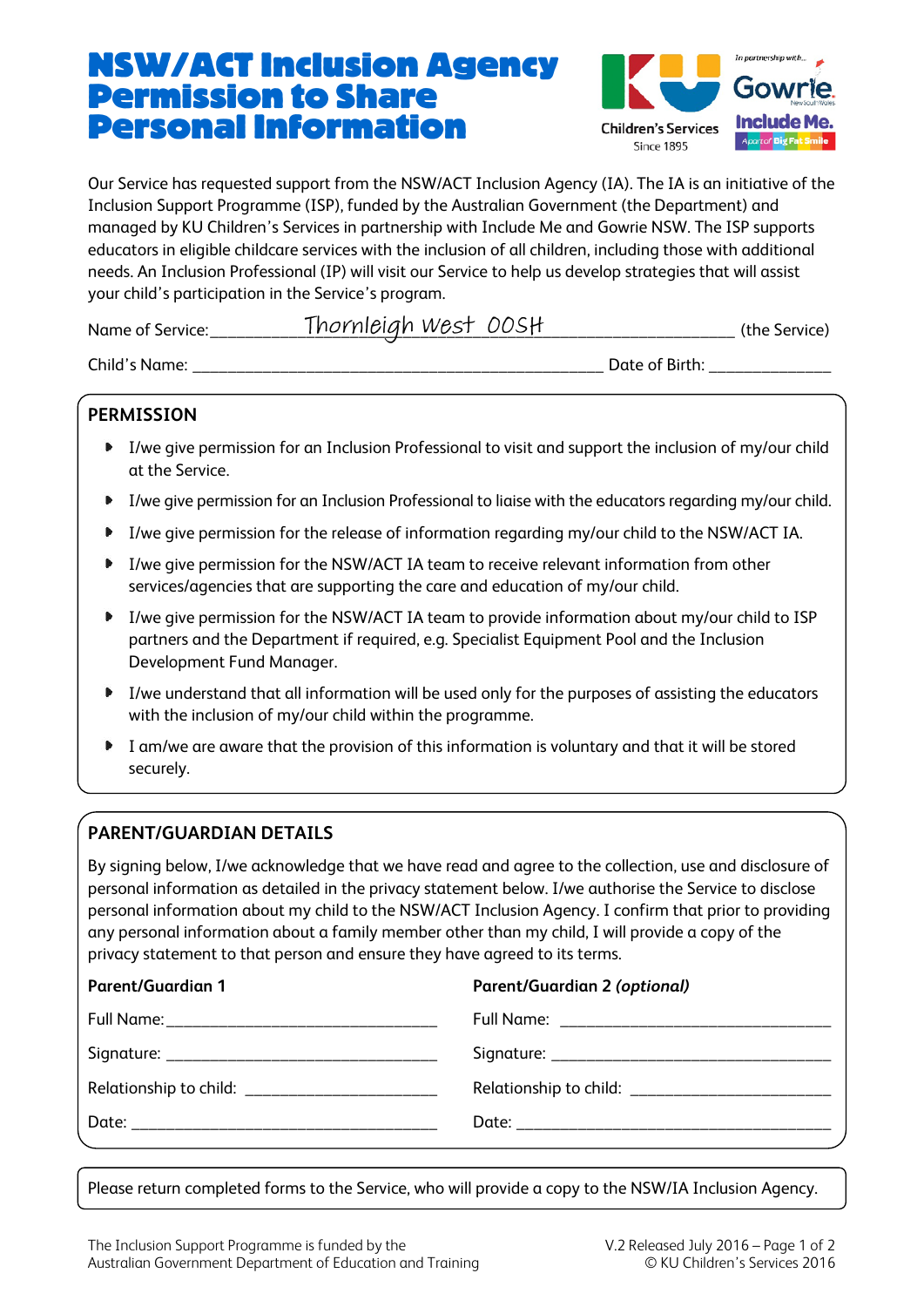## NSW/ACT Inclusion Agency Permission to Share Personal Information



Our Service has requested support from the NSW/ACT Inclusion Agency (IA). The IA is an initiative of the Inclusion Support Programme (ISP), funded by the Australian Government (the Department) and managed by KU Children's Services in partnership with Include Me and Gowrie NSW. The ISP supports educators in eligible childcare services with the inclusion of all children, including those with additional needs. An Inclusion Professional (IP) will visit our Service to help us develop strategies that will assist your child's participation in the Service's program.

| Name of<br>service. | <i>WP.S</i> T<br>M<br>م ا<br>. C<br>_________________ | ∵÷h∟                            |
|---------------------|-------------------------------------------------------|---------------------------------|
| ChilA               |                                                       | م†∩1<br>^+<br>_________________ |

#### **PERMISSION**

- I/we give permission for an Inclusion Professional to visit and support the inclusion of my/our child at the Service.
- I/we give permission for an Inclusion Professional to liaise with the educators regarding my/our child.
- I/we give permission for the release of information regarding my/our child to the NSW/ACT IA.
- I/we give permission for the NSW/ACT IA team to receive relevant information from other services/agencies that are supporting the care and education of my/our child.
- I/we give permission for the NSW/ACT IA team to provide information about my/our child to ISP partners and the Department if required, e.g. Specialist Equipment Pool and the Inclusion Development Fund Manager.
- I/we understand that all information will be used only for the purposes of assisting the educators with the inclusion of my/our child within the programme.
- I am/we are aware that the provision of this information is voluntary and that it will be stored  $\mathbf{r}$ securely.

### **PARENT/GUARDIAN DETAILS**

By signing below, I/we acknowledge that we have read and agree to the collection, use and disclosure of personal information as detailed in the privacy statement below. I/we authorise the Service to disclose personal information about my child to the NSW/ACT Inclusion Agency. I confirm that prior to providing any personal information about a family member other than my child, I will provide a copy of the privacy statement to that person and ensure they have agreed to its terms.

| <b>Parent/Guardian 1</b>                       | Parent/Guardian 2 (optional)                     |
|------------------------------------------------|--------------------------------------------------|
|                                                |                                                  |
|                                                |                                                  |
| Relationship to child: _______________________ | Relationship to child: _________________________ |
|                                                |                                                  |
|                                                |                                                  |

Please return completed forms to the Service, who will provide a copy to the NSW/IA Inclusion Agency.